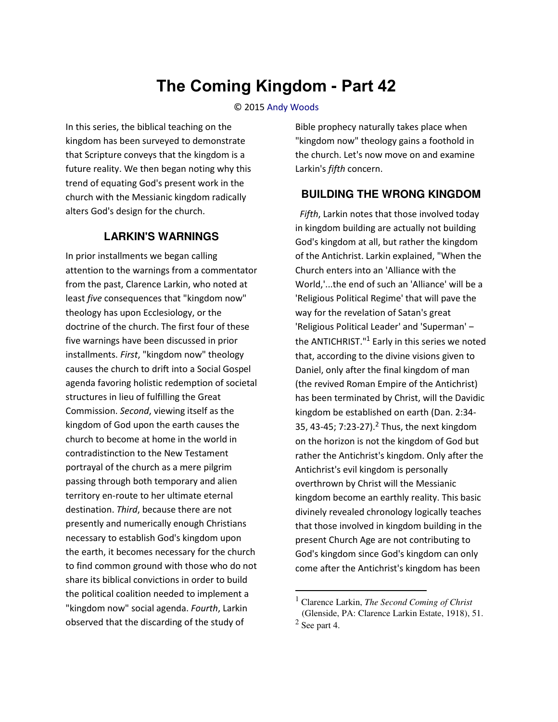# **The Coming Kingdom - Part 42**

#### © 2015 [Andy Woods](http://www.spiritandtruth.org/id/aw.htm)

In this series, the biblical teaching on the kingdom has been surveyed to demonstrate that Scripture conveys that the kingdom is a future reality. We then began noting why this trend of equating God's present work in the church with the Messianic kingdom radically alters God's design for the church.

### **LARKIN'S WARNINGS**

In prior installments we began calling attention to the warnings from a commentator from the past, Clarence Larkin, who noted at least *five* consequences that "kingdom now" theology has upon Ecclesiology, or the doctrine of the church. The first four of these five warnings have been discussed in prior installments. *First*, "kingdom now" theology causes the church to drift into a Social Gospel agenda favoring holistic redemption of societal structures in lieu of fulfilling the Great Commission. *Second*, viewing itself as the kingdom of God upon the earth causes the church to become at home in the world in contradistinction to the New Testament portrayal of the church as a mere pilgrim passing through both temporary and alien territory en-route to her ultimate eternal destination. *Third*, because there are not presently and numerically enough Christians necessary to establish God's kingdom upon the earth, it becomes necessary for the church to find common ground with those who do not share its biblical convictions in order to build the political coalition needed to implement a "kingdom now" social agenda. *Fourth*, Larkin observed that the discarding of the study of

Bible prophecy naturally takes place when "kingdom now" theology gains a foothold in the church. Let's now move on and examine Larkin's *fifth* concern.

#### **BUILDING THE WRONG KINGDOM**

 *Fifth*, Larkin notes that those involved today in kingdom building are actually not building God's kingdom at all, but rather the kingdom of the Antichrist. Larkin explained, "When the Church enters into an 'Alliance with the World,'...the end of such an 'Alliance' will be a 'Religious Political Regime' that will pave the way for the revelation of Satan's great 'Religious Political Leader' and 'Superman' the ANTICHRIST."<sup>1</sup> Early in this series we noted that, according to the divine visions given to Daniel, only after the final kingdom of man (the revived Roman Empire of the Antichrist) has been terminated by Christ, will the Davidic kingdom be established on earth (Dan. 2:34- 35, 43-45; 7:23-27).<sup>2</sup> Thus, the next kingdom on the horizon is not the kingdom of God but rather the Antichrist's kingdom. Only after the Antichrist's evil kingdom is personally overthrown by Christ will the Messianic kingdom become an earthly reality. This basic divinely revealed chronology logically teaches that those involved in kingdom building in the present Church Age are not contributing to God's kingdom since God's kingdom can only come after the Antichrist's kingdom has been

l

<sup>1</sup> Clarence Larkin, *The Second Coming of Christ* (Glenside, PA: Clarence Larkin Estate, 1918), 51.  $<sup>2</sup>$  See part 4.</sup>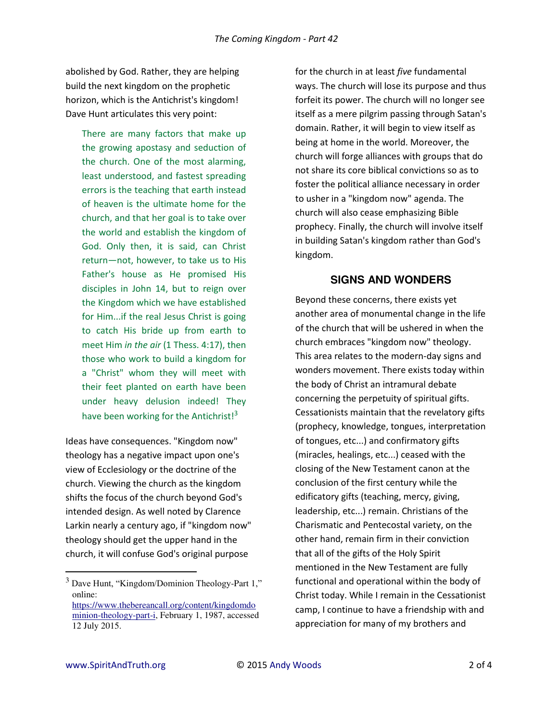abolished by God. Rather, they are helping build the next kingdom on the prophetic horizon, which is the Antichrist's kingdom! Dave Hunt articulates this very point:

There are many factors that make up the growing apostasy and seduction of the church. One of the most alarming, least understood, and fastest spreading errors is the teaching that earth instead of heaven is the ultimate home for the church, and that her goal is to take over the world and establish the kingdom of God. Only then, it is said, can Christ return—not, however, to take us to His Father's house as He promised His disciples in John 14, but to reign over the Kingdom which we have established for Him...if the real Jesus Christ is going to catch His bride up from earth to meet Him *in the air* (1 Thess. 4:17), then those who work to build a kingdom for a "Christ" whom they will meet with their feet planted on earth have been under heavy delusion indeed! They have been working for the Antichrist! $3$ 

Ideas have consequences. "Kingdom now" theology has a negative impact upon one's view of Ecclesiology or the doctrine of the church. Viewing the church as the kingdom shifts the focus of the church beyond God's intended design. As well noted by Clarence Larkin nearly a century ago, if "kingdom now" theology should get the upper hand in the church, it will confuse God's original purpose

for the church in at least *five* fundamental ways. The church will lose its purpose and thus forfeit its power. The church will no longer see itself as a mere pilgrim passing through Satan's domain. Rather, it will begin to view itself as being at home in the world. Moreover, the church will forge alliances with groups that do not share its core biblical convictions so as to foster the political alliance necessary in order to usher in a "kingdom now" agenda. The church will also cease emphasizing Bible prophecy. Finally, the church will involve itself in building Satan's kingdom rather than God's kingdom.

## **SIGNS AND WONDERS**

Beyond these concerns, there exists yet another area of monumental change in the life of the church that will be ushered in when the church embraces "kingdom now" theology. This area relates to the modern-day signs and wonders movement. There exists today within the body of Christ an intramural debate concerning the perpetuity of spiritual gifts. Cessationists maintain that the revelatory gifts (prophecy, knowledge, tongues, interpretation of tongues, etc...) and confirmatory gifts (miracles, healings, etc...) ceased with the closing of the New Testament canon at the conclusion of the first century while the edificatory gifts (teaching, mercy, giving, leadership, etc...) remain. Christians of the Charismatic and Pentecostal variety, on the other hand, remain firm in their conviction that all of the gifts of the Holy Spirit mentioned in the New Testament are fully functional and operational within the body of Christ today. While I remain in the Cessationist camp, I continue to have a friendship with and appreciation for many of my brothers and

l

<sup>3</sup> Dave Hunt, "Kingdom/Dominion Theology-Part 1," online:

[https://www.thebereancall.org/content/kingdomdo](https://www.thebereancall.org/content/kingdomdominion-theology-part-i) [minion-theology-part-i,](https://www.thebereancall.org/content/kingdomdominion-theology-part-i) February 1, 1987, accessed 12 July 2015.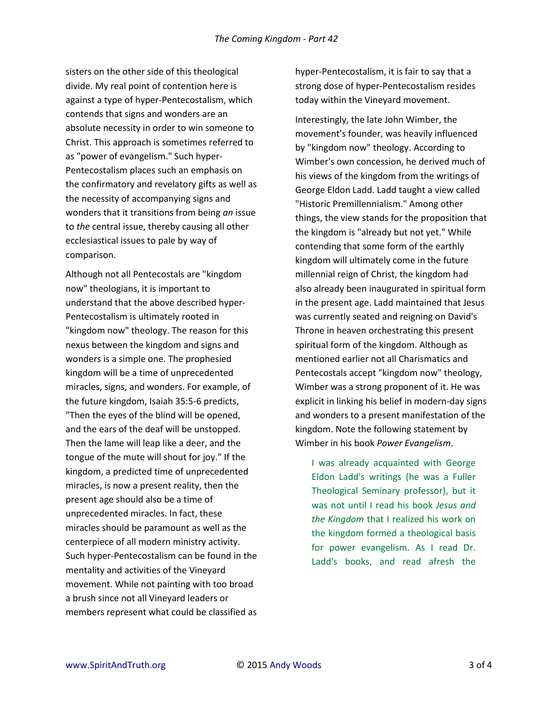sisters on the other side of this theological divide. My real point of contention here is against a type of hyper-Pentecostalism, which contends that signs and wonders are an absolute necessity in order to win someone to Christ. This approach is sometimes referred to as "power of evangelism." Such hyper-Pentecostalism places such an emphasis on the confirmatory and revelatory gifts as well as the necessity of accompanying signs and wonders that it transitions from being *an* issue to *the* central issue, thereby causing all other ecclesiastical issues to pale by way of comparison.

Although not all Pentecostals are "kingdom now" theologians, it is important to understand that the above described hyper-Pentecostalism is ultimately rooted in "kingdom now" theology. The reason for this nexus between the kingdom and signs and wonders is a simple one. The prophesied kingdom will be a time of unprecedented miracles, signs, and wonders. For example, of the future kingdom, Isaiah 35:5-6 predicts, "Then the eyes of the blind will be opened, and the ears of the deaf will be unstopped. Then the lame will leap like a deer, and the tongue of the mute will shout for joy." If the kingdom, a predicted time of unprecedented miracles, is now a present reality, then the present age should also be a time of unprecedented miracles. In fact, these miracles should be paramount as well as the centerpiece of all modern ministry activity. Such hyper-Pentecostalism can be found in the mentality and activities of the Vineyard movement. While not painting with too broad a brush since not all Vineyard leaders or members represent what could be classified as

hyper-Pentecostalism, it is fair to say that a strong dose of hyper-Pentecostalism resides today within the Vineyard movement.

Interestingly, the late John Wimber, the movement's founder, was heavily influenced by "kingdom now" theology. According to Wimber's own concession, he derived much of his views of the kingdom from the writings of George Eldon Ladd. Ladd taught a view called "Historic Premillennialism." Among other things, the view stands for the proposition that the kingdom is "already but not yet." While contending that some form of the earthly kingdom will ultimately come in the future millennial reign of Christ, the kingdom had also already been inaugurated in spiritual form in the present age. Ladd maintained that Jesus was currently seated and reigning on David's Throne in heaven orchestrating this present spiritual form of the kingdom. Although as mentioned earlier not all Charismatics and Pentecostals accept "kingdom now" theology, Wimber was a strong proponent of it. He was explicit in linking his belief in modern-day signs and wonders to a present manifestation of the kingdom. Note the following statement by Wimber in his book *Power Evangelism*.

I was already acquainted with George Eldon Ladd's writings (he was a Fuller Theological Seminary professor), but it was not until I read his book *Jesus and the Kingdom* that I realized his work on the kingdom formed a theological basis for power evangelism. As I read Dr. Ladd's books, and read afresh the